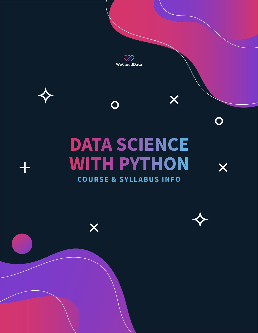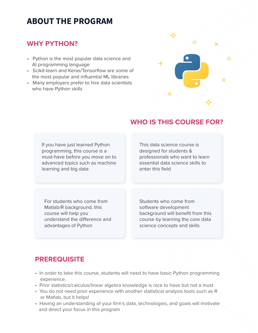# **ABOUT THE PROGRAM**

### **WHY PYTHON?**

- Python is the most popular data science and AI programming language
- Scikit-learn and Keras/Tensorflow are some of the most popular and influential ML libraries
- Many employers prefer to hire data scientists who have Python skills



## **WHO IS THIS COURSE FOR?**

If you have just learned Python programming, this course is a must-have before you move on to advanced topics such as machine learning and big data

This data science course is designed for students & professionals who want to learn essential data science skills to enter this field

For students who come from Matlab/R background, this course will help you understand the difference and advantages of Python

Students who come from software development background will benefit from this course by learning the core data science concepts and skills

### **PREREQUISITE**

- In order to take this course, students will need to have basic Python programming experience.
- Prior statistics/calculus/linear algebra knowledge is nice to have but not a must
- You do not need prior experience with another statistical analysis tools such as R or Matlab, but it helps!
- Having an understanding of your firm's data, technologies, and goals will motivate and direct your focus in this program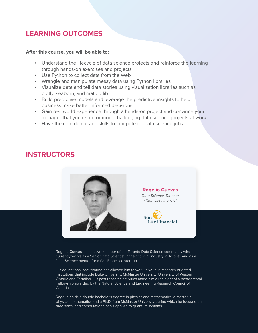### **LEARNING OUTCOMES**

#### **After this course, you will be able to:**

- Understand the lifecycle of data science projects and reinforce the learning through hands-on exercises and projects
- Use Python to collect data from the Web
- Wrangle and manipulate messy data using Python libraries
- Visualize data and tell data stories using visualization libraries such as plotly, seaborn, and matplotlib
- Build predictive models and leverage the predictive insights to help business make better informed decisions
- Gain real world experience through a hands-on project and convince your manager that you're up for more challenging data science projects at work
- Have the confidence and skills to compete for data science jobs

### **INSTRUCTORS**



Rogelio Cuevas is an active member of the Toronto Data Science community who currently works as a Senior Data Scientist in the financial industry in Toronto and as a Data Science mentor for a San Francisco start-up.

His educational background has allowed him to work in various research-oriented institutions that include Duke University, McMaster University, University of Western Ontario and Fermilab. His past research activities made him a recipient of a postdoctoral Fellowship awarded by the Natural Science and Engineering Research Council of Canada.

Rogelio holds a double bachelor's degree in physics and mathematics, a master in physical-mathematics and a Ph.D. from McMaster University during which he focused on theoretical and computational tools applied to quantum systems.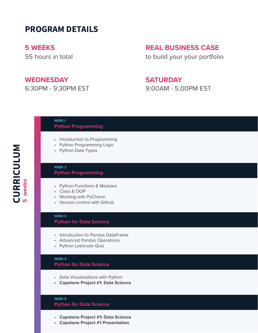# **PROGRAM DETAILS**

**5 WEEKS**

55 hours in total

### **WEDNESDAY**

6:30PM - 9:30PM EST

### **REAL BUSINESS CASE**

to build your your portfolio

### **SATURDAY**

9:00AM - 5:00PM EST

**WEEK 1**

#### **Python Programming**

- Introduction to Programming
- Python Programming Logic
- Python Data Types

#### **WEEK 2 Python Programming**

- Python Functions & Modules
- Class & OOP
- Working with PyCharm
- Version control with Github

#### **WEEK 3**

#### **Python for Data Science**

- Introduction to Pandas DataFrame
- Advanced Pandas Operations
- Python Leetcode Quiz

#### **WEEK 4**

#### **Python for Data Science**

- Data Visualizations with Python
- **Capstone Project #1: Data Science**

#### **WEEK 5 Python for Data Science**

- **Capstone Project #1: Data Science**
- **Capstone Project #1 Presentation**

CURRICULUM **CURRICULUM** weeks **5 weeks**